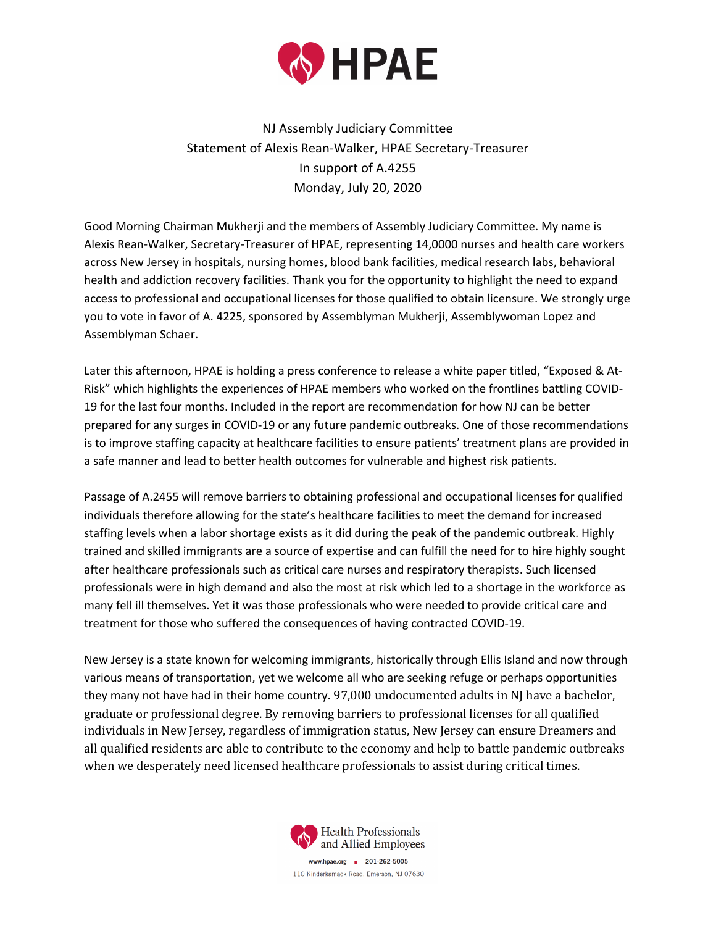

NJ Assembly Judiciary Committee Statement of Alexis Rean-Walker, HPAE Secretary-Treasurer In support of A.4255 Monday, July 20, 2020

Good Morning Chairman Mukherji and the members of Assembly Judiciary Committee. My name is Alexis Rean-Walker, Secretary-Treasurer of HPAE, representing 14,0000 nurses and health care workers across New Jersey in hospitals, nursing homes, blood bank facilities, medical research labs, behavioral health and addiction recovery facilities. Thank you for the opportunity to highlight the need to expand access to professional and occupational licenses for those qualified to obtain licensure. We strongly urge you to vote in favor of A. 4225, sponsored by Assemblyman Mukherji, Assemblywoman Lopez and Assemblyman Schaer.

Later this afternoon, HPAE is holding a press conference to release a white paper titled, "Exposed & At-Risk" which highlights the experiences of HPAE members who worked on the frontlines battling COVID-19 for the last four months. Included in the report are recommendation for how NJ can be better prepared for any surges in COVID-19 or any future pandemic outbreaks. One of those recommendations is to improve staffing capacity at healthcare facilities to ensure patients' treatment plans are provided in a safe manner and lead to better health outcomes for vulnerable and highest risk patients.

Passage of A.2455 will remove barriers to obtaining professional and occupational licenses for qualified individuals therefore allowing for the state's healthcare facilities to meet the demand for increased staffing levels when a labor shortage exists as it did during the peak of the pandemic outbreak. Highly trained and skilled immigrants are a source of expertise and can fulfill the need for to hire highly sought after healthcare professionals such as critical care nurses and respiratory therapists. Such licensed professionals were in high demand and also the most at risk which led to a shortage in the workforce as many fell ill themselves. Yet it was those professionals who were needed to provide critical care and treatment for those who suffered the consequences of having contracted COVID-19.

New Jersey is a state known for welcoming immigrants, historically through Ellis Island and now through various means of transportation, yet we welcome all who are seeking refuge or perhaps opportunities they many not have had in their home country. 97,000 undocumented adults in NJ have a bachelor, graduate or professional degree. By removing barriers to professional licenses for all qualified individuals in New Jersey, regardless of immigration status, New Jersey can ensure Dreamers and all qualified residents are able to contribute to the economy and help to battle pandemic outbreaks when we desperately need licensed healthcare professionals to assist during critical times.